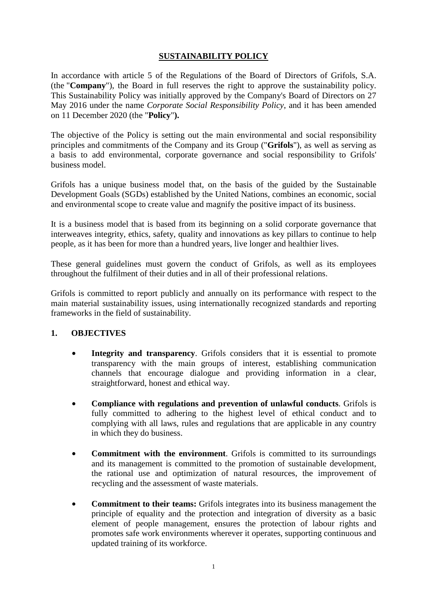# **SUSTAINABILITY POLICY**

In accordance with article 5 of the Regulations of the Board of Directors of Grifols, S.A. (the "**Company**"), the Board in full reserves the right to approve the sustainability policy. This Sustainability Policy was initially approved by the Company's Board of Directors on 27 May 2016 under the name *Corporate Social Responsibility Policy*, and it has been amended on 11 December 2020 (the "**Policy**"**).**

The objective of the Policy is setting out the main environmental and social responsibility principles and commitments of the Company and its Group ("**Grifols**"), as well as serving as a basis to add environmental, corporate governance and social responsibility to Grifols' business model.

Grifols has a unique business model that, on the basis of the guided by the Sustainable Development Goals (SGDs) established by the United Nations, combines an economic, social and environmental scope to create value and magnify the positive impact of its business.

It is a business model that is based from its beginning on a solid corporate governance that interweaves integrity, ethics, safety, quality and innovations as key pillars to continue to help people, as it has been for more than a hundred years, live longer and healthier lives.

These general guidelines must govern the conduct of Grifols, as well as its employees throughout the fulfilment of their duties and in all of their professional relations.

Grifols is committed to report publicly and annually on its performance with respect to the main material sustainability issues, using internationally recognized standards and reporting frameworks in the field of sustainability.

#### **1. OBJECTIVES**

- **Integrity and transparency**. Grifols considers that it is essential to promote transparency with the main groups of interest, establishing communication channels that encourage dialogue and providing information in a clear, straightforward, honest and ethical way.
- **Compliance with regulations and prevention of unlawful conducts**. Grifols is fully committed to adhering to the highest level of ethical conduct and to complying with all laws, rules and regulations that are applicable in any country in which they do business.
- **Commitment with the environment**. Grifols is committed to its surroundings and its management is committed to the promotion of sustainable development, the rational use and optimization of natural resources, the improvement of recycling and the assessment of waste materials.
- **Commitment to their teams:** Grifols integrates into its business management the principle of equality and the protection and integration of diversity as a basic element of people management, ensures the protection of labour rights and promotes safe work environments wherever it operates, supporting continuous and updated training of its workforce.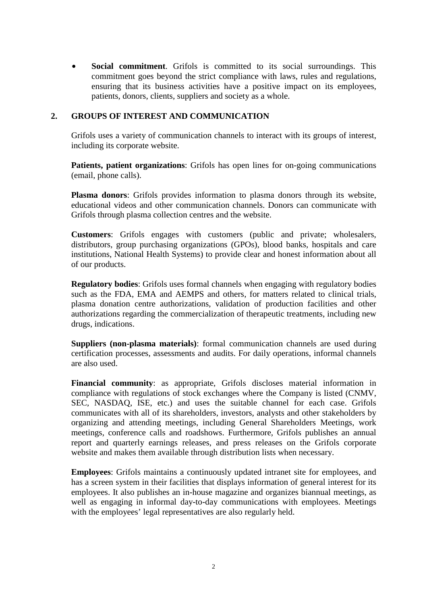• **Social commitment**. Grifols is committed to its social surroundings. This commitment goes beyond the strict compliance with laws, rules and regulations, ensuring that its business activities have a positive impact on its employees, patients, donors, clients, suppliers and society as a whole.

#### **2. GROUPS OF INTEREST AND COMMUNICATION**

Grifols uses a variety of communication channels to interact with its groups of interest, including its corporate website.

**Patients, patient organizations**: Grifols has open lines for on-going communications (email, phone calls).

**Plasma donors**: Grifols provides information to plasma donors through its website, educational videos and other communication channels. Donors can communicate with Grifols through plasma collection centres and the website.

**Customers**: Grifols engages with customers (public and private; wholesalers, distributors, group purchasing organizations (GPOs), blood banks, hospitals and care institutions, National Health Systems) to provide clear and honest information about all of our products.

**Regulatory bodies**: Grifols uses formal channels when engaging with regulatory bodies such as the FDA, EMA and AEMPS and others, for matters related to clinical trials, plasma donation centre authorizations, validation of production facilities and other authorizations regarding the commercialization of therapeutic treatments, including new drugs, indications.

**Suppliers (non-plasma materials)**: formal communication channels are used during certification processes, assessments and audits. For daily operations, informal channels are also used.

**Financial community**: as appropriate, Grifols discloses material information in compliance with regulations of stock exchanges where the Company is listed (CNMV, SEC, NASDAQ, ISE, etc.) and uses the suitable channel for each case. Grifols communicates with all of its shareholders, investors, analysts and other stakeholders by organizing and attending meetings, including General Shareholders Meetings, work meetings, conference calls and roadshows. Furthermore, Grifols publishes an annual report and quarterly earnings releases, and press releases on the Grifols corporate website and makes them available through distribution lists when necessary.

**Employees**: Grifols maintains a continuously updated intranet site for employees, and has a screen system in their facilities that displays information of general interest for its employees. It also publishes an in-house magazine and organizes biannual meetings, as well as engaging in informal day-to-day communications with employees. Meetings with the employees' legal representatives are also regularly held.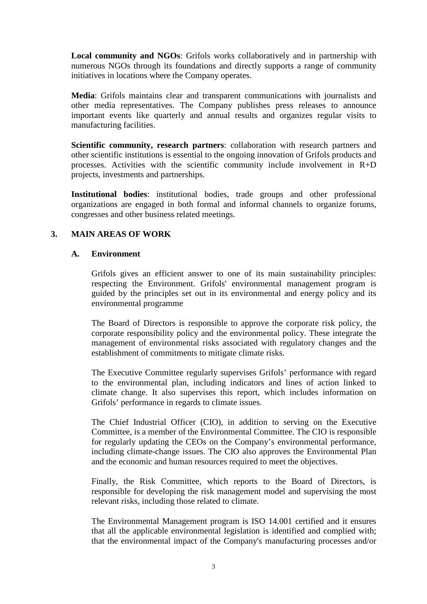**Local community and NGOs**: Grifols works collaboratively and in partnership with numerous NGOs through its foundations and directly supports a range of community initiatives in locations where the Company operates.

**Media**: Grifols maintains clear and transparent communications with journalists and other media representatives. The Company publishes press releases to announce important events like quarterly and annual results and organizes regular visits to manufacturing facilities.

**Scientific community, research partners**: collaboration with research partners and other scientific institutions is essential to the ongoing innovation of Grifols products and processes. Activities with the scientific community include involvement in  $R+D$ projects, investments and partnerships.

**Institutional bodies**: institutional bodies, trade groups and other professional organizations are engaged in both formal and informal channels to organize forums, congresses and other business related meetings.

# **3. MAIN AREAS OF WORK**

## **A. Environment**

Grifols gives an efficient answer to one of its main sustainability principles: respecting the Environment. Grifols' environmental management program is guided by the principles set out in its environmental and energy policy and its environmental programme

The Board of Directors is responsible to approve the corporate risk policy, the corporate responsibility policy and the environmental policy. These integrate the management of environmental risks associated with regulatory changes and the establishment of commitments to mitigate climate risks.

The Executive Committee regularly supervises Grifols' performance with regard to the environmental plan, including indicators and lines of action linked to climate change. It also supervises this report, which includes information on Grifols' performance in regards to climate issues.

The Chief Industrial Officer (CIO), in addition to serving on the Executive Committee, is a member of the Environmental Committee. The CIO is responsible for regularly updating the CEOs on the Company's environmental performance, including climate-change issues. The CIO also approves the Environmental Plan and the economic and human resources required to meet the objectives.

Finally, the Risk Committee, which reports to the Board of Directors, is responsible for developing the risk management model and supervising the most relevant risks, including those related to climate.

The Environmental Management program is ISO 14.001 certified and it ensures that all the applicable environmental legislation is identified and complied with; that the environmental impact of the Company's manufacturing processes and/or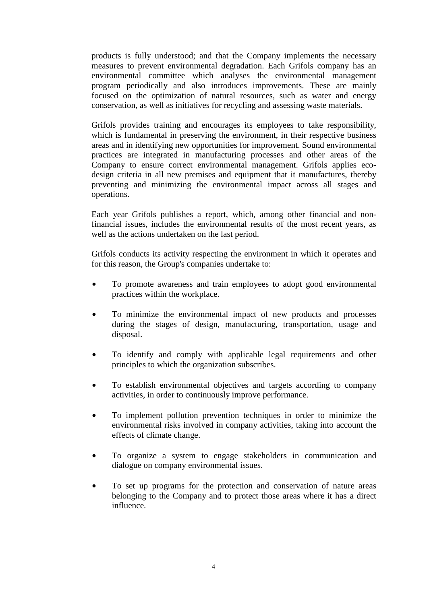products is fully understood; and that the Company implements the necessary measures to prevent environmental degradation. Each Grifols company has an environmental committee which analyses the environmental management program periodically and also introduces improvements. These are mainly focused on the optimization of natural resources, such as water and energy conservation, as well as initiatives for recycling and assessing waste materials.

Grifols provides training and encourages its employees to take responsibility, which is fundamental in preserving the environment, in their respective business areas and in identifying new opportunities for improvement. Sound environmental practices are integrated in manufacturing processes and other areas of the Company to ensure correct environmental management. Grifols applies ecodesign criteria in all new premises and equipment that it manufactures, thereby preventing and minimizing the environmental impact across all stages and operations.

Each year Grifols publishes a report, which, among other financial and nonfinancial issues, includes the environmental results of the most recent years, as well as the actions undertaken on the last period.

Grifols conducts its activity respecting the environment in which it operates and for this reason, the Group's companies undertake to:

- To promote awareness and train employees to adopt good environmental practices within the workplace.
- To minimize the environmental impact of new products and processes during the stages of design, manufacturing, transportation, usage and disposal.
- To identify and comply with applicable legal requirements and other principles to which the organization subscribes.
- To establish environmental objectives and targets according to company activities, in order to continuously improve performance.
- To implement pollution prevention techniques in order to minimize the environmental risks involved in company activities, taking into account the effects of climate change.
- To organize a system to engage stakeholders in communication and dialogue on company environmental issues.
- To set up programs for the protection and conservation of nature areas belonging to the Company and to protect those areas where it has a direct influence.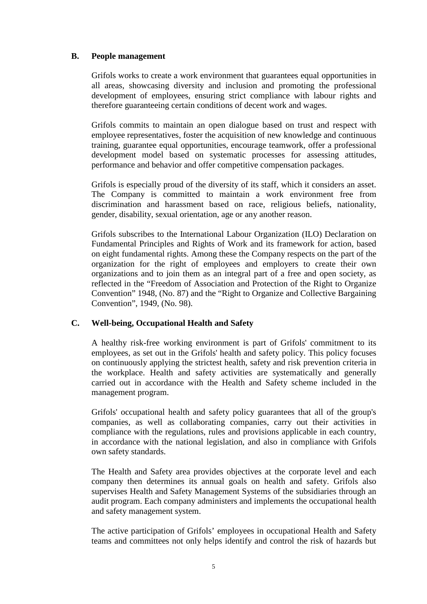#### **B. People management**

Grifols works to create a work environment that guarantees equal opportunities in all areas, showcasing diversity and inclusion and promoting the professional development of employees, ensuring strict compliance with labour rights and therefore guaranteeing certain conditions of decent work and wages.

Grifols commits to maintain an open dialogue based on trust and respect with employee representatives, foster the acquisition of new knowledge and continuous training, guarantee equal opportunities, encourage teamwork, offer a professional development model based on systematic processes for assessing attitudes, performance and behavior and offer competitive compensation packages.

Grifols is especially proud of the diversity of its staff, which it considers an asset. The Company is committed to maintain a work environment free from discrimination and harassment based on race, religious beliefs, nationality, gender, disability, sexual orientation, age or any another reason.

Grifols subscribes to the International Labour Organization (ILO) Declaration on Fundamental Principles and Rights of Work and its framework for action, based on eight fundamental rights. Among these the Company respects on the part of the organization for the right of employees and employers to create their own organizations and to join them as an integral part of a free and open society, as reflected in the "Freedom of Association and Protection of the Right to Organize Convention" 1948, (No. 87) and the "Right to Organize and Collective Bargaining Convention", 1949, (No. 98).

## **C. Well-being, Occupational Health and Safety**

A healthy risk-free working environment is part of Grifols' commitment to its employees, as set out in the Grifols' health and safety policy. This policy focuses on continuously applying the strictest health, safety and risk prevention criteria in the workplace. Health and safety activities are systematically and generally carried out in accordance with the Health and Safety scheme included in the management program.

Grifols' occupational health and safety policy guarantees that all of the group's companies, as well as collaborating companies, carry out their activities in compliance with the regulations, rules and provisions applicable in each country, in accordance with the national legislation, and also in compliance with Grifols own safety standards.

The Health and Safety area provides objectives at the corporate level and each company then determines its annual goals on health and safety. Grifols also supervises Health and Safety Management Systems of the subsidiaries through an audit program. Each company administers and implements the occupational health and safety management system.

The active participation of Grifols' employees in occupational Health and Safety teams and committees not only helps identify and control the risk of hazards but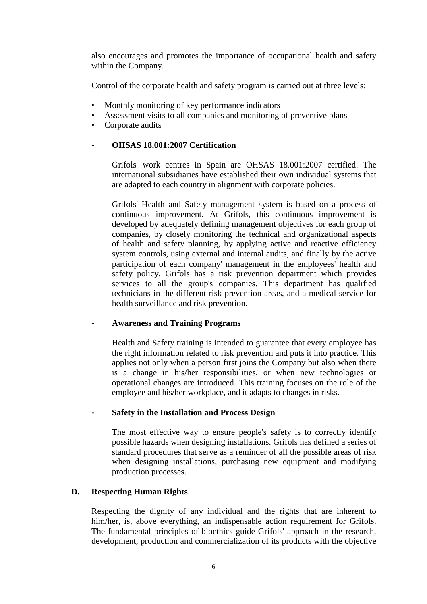also encourages and promotes the importance of occupational health and safety within the Company.

Control of the corporate health and safety program is carried out at three levels:

- Monthly monitoring of key performance indicators
- Assessment visits to all companies and monitoring of preventive plans
- Corporate audits

### - **OHSAS 18.001:2007 Certification**

Grifols' work centres in Spain are OHSAS 18.001:2007 certified. The international subsidiaries have established their own individual systems that are adapted to each country in alignment with corporate policies.

Grifols' Health and Safety management system is based on a process of continuous improvement. At Grifols, this continuous improvement is developed by adequately defining management objectives for each group of companies, by closely monitoring the technical and organizational aspects of health and safety planning, by applying active and reactive efficiency system controls, using external and internal audits, and finally by the active participation of each company' management in the employees' health and safety policy. Grifols has a risk prevention department which provides services to all the group's companies. This department has qualified technicians in the different risk prevention areas, and a medical service for health surveillance and risk prevention.

#### - **Awareness and Training Programs**

Health and Safety training is intended to guarantee that every employee has the right information related to risk prevention and puts it into practice. This applies not only when a person first joins the Company but also when there is a change in his/her responsibilities, or when new technologies or operational changes are introduced. This training focuses on the role of the employee and his/her workplace, and it adapts to changes in risks.

#### - **Safety in the Installation and Process Design**

The most effective way to ensure people's safety is to correctly identify possible hazards when designing installations. Grifols has defined a series of standard procedures that serve as a reminder of all the possible areas of risk when designing installations, purchasing new equipment and modifying production processes.

#### **D. Respecting Human Rights**

Respecting the dignity of any individual and the rights that are inherent to him/her, is, above everything, an indispensable action requirement for Grifols. The fundamental principles of bioethics guide Grifols' approach in the research, development, production and commercialization of its products with the objective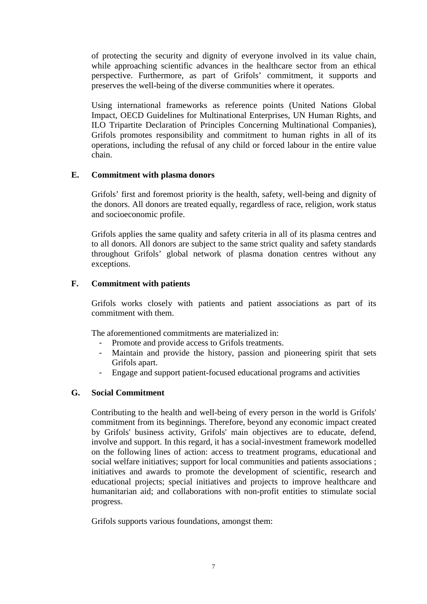of protecting the security and dignity of everyone involved in its value chain, while approaching scientific advances in the healthcare sector from an ethical perspective. Furthermore, as part of Grifols' commitment, it supports and preserves the well-being of the diverse communities where it operates.

Using international frameworks as reference points (United Nations Global Impact, OECD Guidelines for Multinational Enterprises, UN Human Rights, and ILO Tripartite Declaration of Principles Concerning Multinational Companies), Grifols promotes responsibility and commitment to human rights in all of its operations, including the refusal of any child or forced labour in the entire value chain.

### **E. Commitment with plasma donors**

Grifols' first and foremost priority is the health, safety, well-being and dignity of the donors. All donors are treated equally, regardless of race, religion, work status and socioeconomic profile.

Grifols applies the same quality and safety criteria in all of its plasma centres and to all donors. All donors are subject to the same strict quality and safety standards throughout Grifols' global network of plasma donation centres without any exceptions.

## **F. Commitment with patients**

Grifols works closely with patients and patient associations as part of its commitment with them.

The aforementioned commitments are materialized in:

- Promote and provide access to Grifols treatments.
- Maintain and provide the history, passion and pioneering spirit that sets Grifols apart.
- Engage and support patient-focused educational programs and activities

#### **G. Social Commitment**

Contributing to the health and well-being of every person in the world is Grifols' commitment from its beginnings. Therefore, beyond any economic impact created by Grifols' business activity, Grifols' main objectives are to educate, defend, involve and support. In this regard, it has a social-investment framework modelled on the following lines of action: access to treatment programs, educational and social welfare initiatives; support for local communities and patients associations ; initiatives and awards to promote the development of scientific, research and educational projects; special initiatives and projects to improve healthcare and humanitarian aid; and collaborations with non-profit entities to stimulate social progress.

Grifols supports various foundations, amongst them: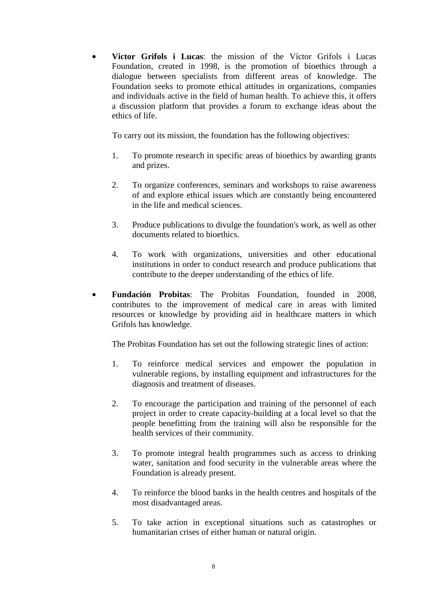• **Victor Grifols i Lucas**: the mission of the Víctor Grifols i Lucas Foundation, created in 1998, is the promotion of bioethics through a dialogue between specialists from different areas of knowledge. The Foundation seeks to promote ethical attitudes in organizations, companies and individuals active in the field of human health. To achieve this, it offers a discussion platform that provides a forum to exchange ideas about the ethics of life.

To carry out its mission, the foundation has the following objectives:

- 1. To promote research in specific areas of bioethics by awarding grants and prizes.
- 2. To organize conferences, seminars and workshops to raise awareness of and explore ethical issues which are constantly being encountered in the life and medical sciences.
- 3. Produce publications to divulge the foundation's work, as well as other documents related to bioethics.
- 4. To work with organizations, universities and other educational institutions in order to conduct research and produce publications that contribute to the deeper understanding of the ethics of life.
- **Fundación Probitas**: The Probitas Foundation, founded in 2008, contributes to the improvement of medical care in areas with limited resources or knowledge by providing aid in healthcare matters in which Grifols has knowledge.

The Probitas Foundation has set out the following strategic lines of action:

- 1. To reinforce medical services and empower the population in vulnerable regions, by installing equipment and infrastructures for the diagnosis and treatment of diseases.
- 2. To encourage the participation and training of the personnel of each project in order to create capacity-building at a local level so that the people benefitting from the training will also be responsible for the health services of their community.
- 3. To promote integral health programmes such as access to drinking water, sanitation and food security in the vulnerable areas where the Foundation is already present.
- 4. To reinforce the blood banks in the health centres and hospitals of the most disadvantaged areas.
- 5. To take action in exceptional situations such as catastrophes or humanitarian crises of either human or natural origin.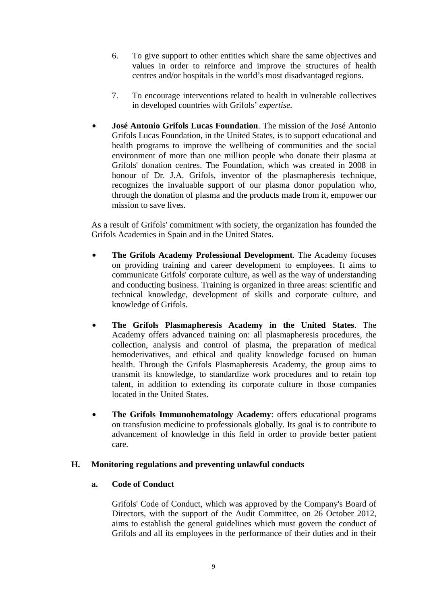- 6. To give support to other entities which share the same objectives and values in order to reinforce and improve the structures of health centres and/or hospitals in the world's most disadvantaged regions.
- 7. To encourage interventions related to health in vulnerable collectives in developed countries with Grifols' *expertise.*
- **José Antonio Grifols Lucas Foundation**. The mission of the José Antonio Grifols Lucas Foundation, in the United States, is to support educational and health programs to improve the wellbeing of communities and the social environment of more than one million people who donate their plasma at Grifols' donation centres. The Foundation, which was created in 2008 in honour of Dr. J.A. Grifols, inventor of the plasmapheresis technique, recognizes the invaluable support of our plasma donor population who, through the donation of plasma and the products made from it, empower our mission to save lives.

As a result of Grifols' commitment with society, the organization has founded the Grifols Academies in Spain and in the United States.

- **The Grifols Academy Professional Development**. The Academy focuses on providing training and career development to employees. It aims to communicate Grifols' corporate culture, as well as the way of understanding and conducting business. Training is organized in three areas: scientific and technical knowledge, development of skills and corporate culture, and knowledge of Grifols.
- **The Grifols Plasmapheresis Academy in the United States**. The Academy offers advanced training on: all plasmapheresis procedures, the collection, analysis and control of plasma, the preparation of medical hemoderivatives, and ethical and quality knowledge focused on human health. Through the Grifols Plasmapheresis Academy, the group aims to transmit its knowledge, to standardize work procedures and to retain top talent, in addition to extending its corporate culture in those companies located in the United States.
- **The Grifols Immunohematology Academy**: offers educational programs on transfusion medicine to professionals globally. Its goal is to contribute to advancement of knowledge in this field in order to provide better patient care.

#### **H. Monitoring regulations and preventing unlawful conducts**

### **a. Code of Conduct**

Grifols' Code of Conduct, which was approved by the Company's Board of Directors, with the support of the Audit Committee, on 26 October 2012, aims to establish the general guidelines which must govern the conduct of Grifols and all its employees in the performance of their duties and in their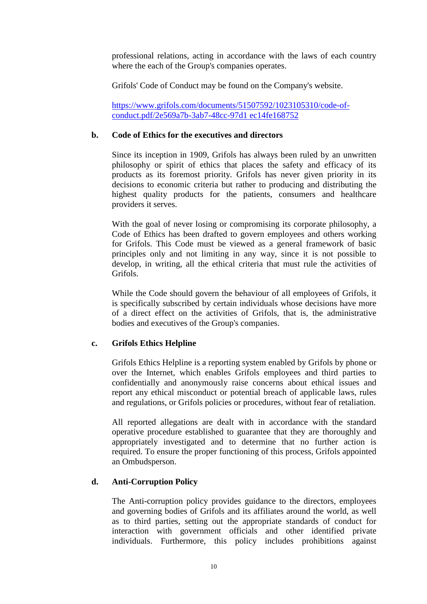professional relations, acting in accordance with the laws of each country where the each of the Group's companies operates.

Grifols' Code of Conduct may be found on the Company's website.

https://www.grifols.com/documents/51507592/1023105310/code-ofconduct.pdf/2e569a7b-3ab7-48cc-97d1 ec14fe168752

#### **b. Code of Ethics for the executives and directors**

Since its inception in 1909, Grifols has always been ruled by an unwritten philosophy or spirit of ethics that places the safety and efficacy of its products as its foremost priority. Grifols has never given priority in its decisions to economic criteria but rather to producing and distributing the highest quality products for the patients, consumers and healthcare providers it serves.

With the goal of never losing or compromising its corporate philosophy, a Code of Ethics has been drafted to govern employees and others working for Grifols. This Code must be viewed as a general framework of basic principles only and not limiting in any way, since it is not possible to develop, in writing, all the ethical criteria that must rule the activities of Grifols.

While the Code should govern the behaviour of all employees of Grifols, it is specifically subscribed by certain individuals whose decisions have more of a direct effect on the activities of Grifols, that is, the administrative bodies and executives of the Group's companies.

## **c. Grifols Ethics Helpline**

Grifols Ethics Helpline is a reporting system enabled by Grifols by phone or over the Internet, which enables Grifols employees and third parties to confidentially and anonymously raise concerns about ethical issues and report any ethical misconduct or potential breach of applicable laws, rules and regulations, or Grifols policies or procedures, without fear of retaliation.

All reported allegations are dealt with in accordance with the standard operative procedure established to guarantee that they are thoroughly and appropriately investigated and to determine that no further action is required. To ensure the proper functioning of this process, Grifols appointed an Ombudsperson.

#### **d. Anti-Corruption Policy**

The Anti-corruption policy provides guidance to the directors, employees and governing bodies of Grifols and its affiliates around the world, as well as to third parties, setting out the appropriate standards of conduct for interaction with government officials and other identified private individuals. Furthermore, this policy includes prohibitions against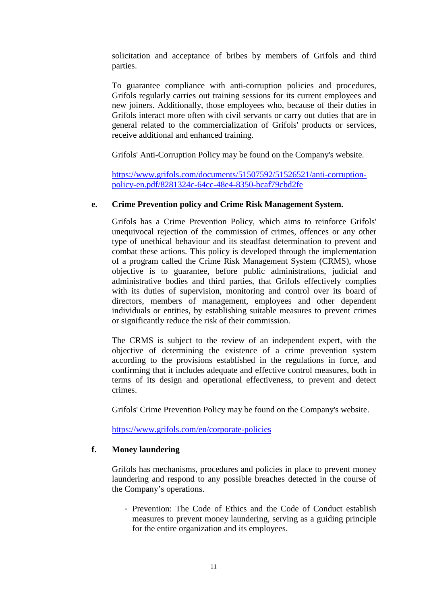solicitation and acceptance of bribes by members of Grifols and third parties.

To guarantee compliance with anti-corruption policies and procedures, Grifols regularly carries out training sessions for its current employees and new joiners. Additionally, those employees who, because of their duties in Grifols interact more often with civil servants or carry out duties that are in general related to the commercialization of Grifols' products or services, receive additional and enhanced training.

Grifols' Anti-Corruption Policy may be found on the Company's website.

https://www.grifols.com/documents/51507592/51526521/anti-corruptionpolicy-en.pdf/8281324c-64cc-48e4-8350-bcaf79cbd2fe

#### **e. Crime Prevention policy and Crime Risk Management System.**

Grifols has a Crime Prevention Policy, which aims to reinforce Grifols' unequivocal rejection of the commission of crimes, offences or any other type of unethical behaviour and its steadfast determination to prevent and combat these actions. This policy is developed through the implementation of a program called the Crime Risk Management System (CRMS), whose objective is to guarantee, before public administrations, judicial and administrative bodies and third parties, that Grifols effectively complies with its duties of supervision, monitoring and control over its board of directors, members of management, employees and other dependent individuals or entities, by establishing suitable measures to prevent crimes or significantly reduce the risk of their commission.

The CRMS is subject to the review of an independent expert, with the objective of determining the existence of a crime prevention system according to the provisions established in the regulations in force, and confirming that it includes adequate and effective control measures, both in terms of its design and operational effectiveness, to prevent and detect crimes.

Grifols' Crime Prevention Policy may be found on the Company's website.

https://www.grifols.com/en/corporate-policies

#### **f. Money laundering**

Grifols has mechanisms, procedures and policies in place to prevent money laundering and respond to any possible breaches detected in the course of the Company's operations.

- Prevention: The Code of Ethics and the Code of Conduct establish measures to prevent money laundering, serving as a guiding principle for the entire organization and its employees.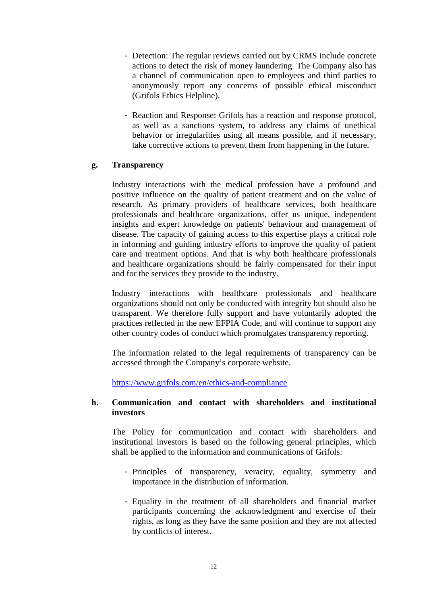- Detection: The regular reviews carried out by CRMS include concrete actions to detect the risk of money laundering. The Company also has a channel of communication open to employees and third parties to anonymously report any concerns of possible ethical misconduct (Grifols Ethics Helpline).
- Reaction and Response: Grifols has a reaction and response protocol, as well as a sanctions system, to address any claims of unethical behavior or irregularities using all means possible, and if necessary, take corrective actions to prevent them from happening in the future.

#### **g. Transparency**

Industry interactions with the medical profession have a profound and positive influence on the quality of patient treatment and on the value of research. As primary providers of healthcare services, both healthcare professionals and healthcare organizations, offer us unique, independent insights and expert knowledge on patients' behaviour and management of disease. The capacity of gaining access to this expertise plays a critical role in informing and guiding industry efforts to improve the quality of patient care and treatment options. And that is why both healthcare professionals and healthcare organizations should be fairly compensated for their input and for the services they provide to the industry.

Industry interactions with healthcare professionals and healthcare organizations should not only be conducted with integrity but should also be transparent. We therefore fully support and have voluntarily adopted the practices reflected in the new EFPIA Code, and will continue to support any other country codes of conduct which promulgates transparency reporting.

The information related to the legal requirements of transparency can be accessed through the Company's corporate website.

https://www.grifols.com/en/ethics-and-compliance

#### **h. Communication and contact with shareholders and institutional investors**

The Policy for communication and contact with shareholders and institutional investors is based on the following general principles, which shall be applied to the information and communications of Grifols:

- Principles of transparency, veracity, equality, symmetry and importance in the distribution of information.
- Equality in the treatment of all shareholders and financial market participants concerning the acknowledgment and exercise of their rights, as long as they have the same position and they are not affected by conflicts of interest.